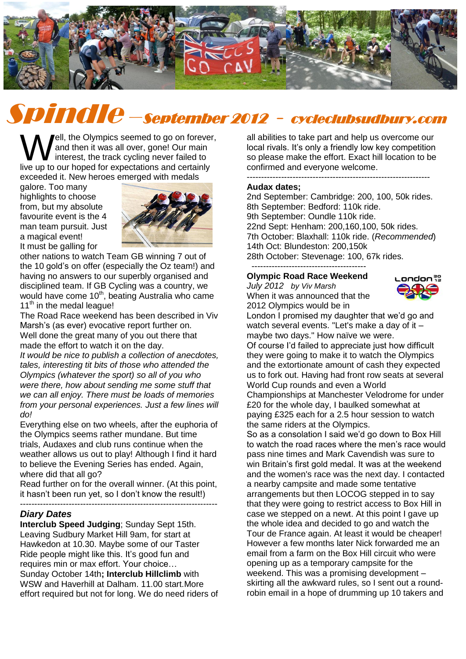

# Spindle –September 2012 - cycleclubsudbury.com

ell, the Olympics seemed to go on forever, and then it was all over, gone! Our main interest, the track cycling never failed to **V**ell, the Olympics seemed to go on forever and then it was all over, gone! Our main interest, the track cycling never failed to live up to our hoped for expectations and certainly exceeded it. New heroes emerged with medals

galore. Too many highlights to choose from, but my absolute favourite event is the 4 man team pursuit. Just a magical event! It must be galling for



other nations to watch Team GB winning 7 out of the 10 gold's on offer (especially the Oz team!) and having no answers to our superbly organised and disciplined team. If GB Cycling was a country, we would have come 10<sup>th</sup>, beating Australia who came 11<sup>th</sup> in the medal league!

The Road Race weekend has been described in Viv Marsh's (as ever) evocative report further on. Well done the great many of you out there that made the effort to watch it on the day.

*It would be nice to publish a collection of anecdotes, tales, interesting tit bits of those who attended the Olympics (whatever the sport) so all of you who were there, how about sending me some stuff that we can all enjoy. There must be loads of memories from your personal experiences. Just a few lines will do!*

Everything else on two wheels, after the euphoria of the Olympics seems rather mundane. But time trials, Audaxes and club runs continue when the weather allows us out to play! Although I find it hard to believe the Evening Series has ended. Again, where did that all go?

Read further on for the overall winner. (At this point, it hasn't been run yet, so I don't know the result!)

---------------------------------------------------------------------

## *Diary Dates*

**Interclub Speed Judging**; Sunday Sept 15th. Leaving Sudbury Market Hill 9am, for start at Hawkedon at 10.30. Maybe some of our Taster Ride people might like this. It's good fun and requires min or max effort. Your choice… Sunday October 14th**; Interclub Hillclimb** with WSW and Haverhill at Dalham. 11.00 start.More effort required but not for long. We do need riders of all abilities to take part and help us overcome our local rivals. It's only a friendly low key competition so please make the effort. Exact hill location to be confirmed and everyone welcome. ----------------------------------------------------------------

#### **Audax dates;**

2nd September: Cambridge: 200, 100, 50k rides. 8th September: Bedford: 110k ride. 9th September: Oundle 110k ride. 22nd Sept: Henham: 200,160,100, 50k rides. 7th October: Blaxhall: 110k ride. (*Recommended*) 14th Oct: Blundeston: 200,150k 28th October: Stevenage: 100, 67k rides. ----------------------------------------

#### **Olympic Road Race Weekend**

*July 2012 by Viv Marsh*  When it was announced that the 2012 Olympics would be in



London I promised my daughter that we'd go and watch several events. "Let's make a day of it – maybe two days." How naïve we were. Of course I'd failed to appreciate just how difficult they were going to make it to watch the Olympics and the extortionate amount of cash they expected us to fork out. Having had front row seats at several World Cup rounds and even a World Championships at Manchester Velodrome for under

£20 for the whole day, I baulked somewhat at paying £325 each for a 2.5 hour session to watch the same riders at the Olympics.

So as a consolation I said we'd go down to Box Hill to watch the road races where the men's race would pass nine times and Mark Cavendish was sure to win Britain's first gold medal. It was at the weekend and the women's race was the next day. I contacted a nearby campsite and made some tentative arrangements but then LOCOG stepped in to say that they were going to restrict access to Box Hill in case we stepped on a newt. At this point I gave up the whole idea and decided to go and watch the Tour de France again. At least it would be cheaper! However a few months later Nick forwarded me an email from a farm on the Box Hill circuit who were opening up as a temporary campsite for the weekend. This was a promising development – skirting all the awkward rules, so I sent out a roundrobin email in a hope of drumming up 10 takers and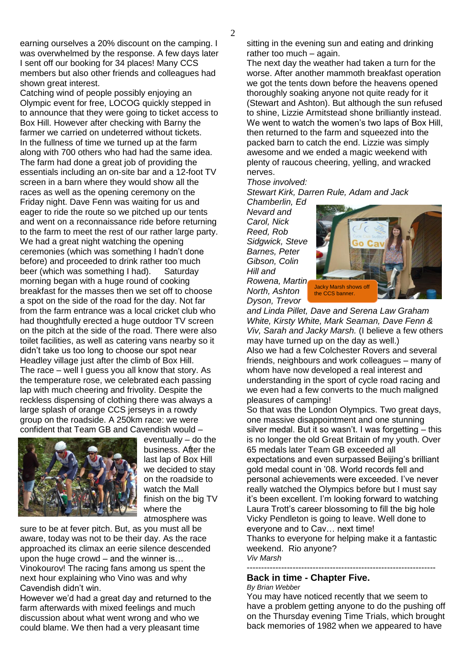earning ourselves a 20% discount on the camping. I was overwhelmed by the response. A few days later I sent off our booking for 34 places! Many CCS members but also other friends and colleagues had shown great interest.

Catching wind of people possibly enjoying an Olympic event for free, LOCOG quickly stepped in to announce that they were going to ticket access to Box Hill. However after checking with Barny the farmer we carried on undeterred without tickets. In the fullness of time we turned up at the farm along with 700 others who had had the same idea. The farm had done a great job of providing the essentials including an on-site bar and a 12-foot TV screen in a barn where they would show all the races as well as the opening ceremony on the Friday night. Dave Fenn was waiting for us and eager to ride the route so we pitched up our tents and went on a reconnaissance ride before returning to the farm to meet the rest of our rather large party. We had a great night watching the opening ceremonies (which was something I hadn't done before) and proceeded to drink rather too much beer (which was something I had). Saturday morning began with a huge round of cooking breakfast for the masses then we set off to choose a spot on the side of the road for the day. Not far from the farm entrance was a local cricket club who had thoughtfully erected a huge outdoor TV screen on the pitch at the side of the road. There were also toilet facilities, as well as catering vans nearby so it didn't take us too long to choose our spot near Headley village just after the climb of Box Hill. The race – well I guess you all know that story. As the temperature rose, we celebrated each passing lap with much cheering and frivolity. Despite the reckless dispensing of clothing there was always a large splash of orange CCS jerseys in a rowdy group on the roadside. A 250km race: we were confident that Team GB and Cavendish would –



eventually – do the business. After the last lap of Box Hill we decided to stay on the roadside to watch the Mall finish on the big TV where the atmosphere was

sure to be at fever pitch. But, as you must all be aware, today was not to be their day. As the race approached its climax an eerie silence descended upon the huge crowd – and the winner is…

Vinokourov! The racing fans among us spent the next hour explaining who Vino was and why Cavendish didn't win.

However we'd had a great day and returned to the farm afterwards with mixed feelings and much discussion about what went wrong and who we could blame. We then had a very pleasant time

sitting in the evening sun and eating and drinking rather too much – again.

The next day the weather had taken a turn for the worse. After another mammoth breakfast operation we got the tents down before the heavens opened thoroughly soaking anyone not quite ready for it (Stewart and Ashton). But although the sun refused to shine, Lizzie Armitstead shone brilliantly instead. We went to watch the women's two laps of Box Hill. then returned to the farm and squeezed into the packed barn to catch the end. Lizzie was simply awesome and we ended a magic weekend with plenty of raucous cheering, yelling, and wracked nerves.

*Those involved:*

*Stewart Kirk, Darren Rule, Adam and Jack Chamberlin, Ed* 

*Nevard and Carol, Nick Reed, Rob Sidgwick, Steve Barnes, Peter Gibson, Colin Hill and Rowena, Martin North, Ashton* 

*Dyson, Trevor* 



*and Linda Pillet, Dave and Serena Law Graham White, Kirsty White, Mark Seaman, Dave Fenn & Viv, Sarah and Jacky Marsh.* (I believe a few others may have turned up on the day as well.) Also we had a few Colchester Rovers and several friends, neighbours and work colleagues – many of whom have now developed a real interest and understanding in the sport of cycle road racing and we even had a few converts to the much maligned pleasures of camping!

So that was the London Olympics. Two great days, one massive disappointment and one stunning silver medal. But it so wasn't. I was forgetting – this is no longer the old Great Britain of my youth. Over 65 medals later Team GB exceeded all expectations and even surpassed Beijing's brilliant

gold medal count in '08. World records fell and personal achievements were exceeded. I've never really watched the Olympics before but I must say it's been excellent. I'm looking forward to watching Laura Trott's career blossoming to fill the big hole Vicky Pendleton is going to leave. Well done to everyone and to Cav… next time!

Thanks to everyone for helping make it a fantastic weekend. Rio anyone? *Viv Marsh*

------------------------------------------------------------------

## **Back in time - Chapter Five.**

#### *By Brian Webber*

You may have noticed recently that we seem to have a problem getting anyone to do the pushing off on the Thursday evening Time Trials, which brought back memories of 1982 when we appeared to have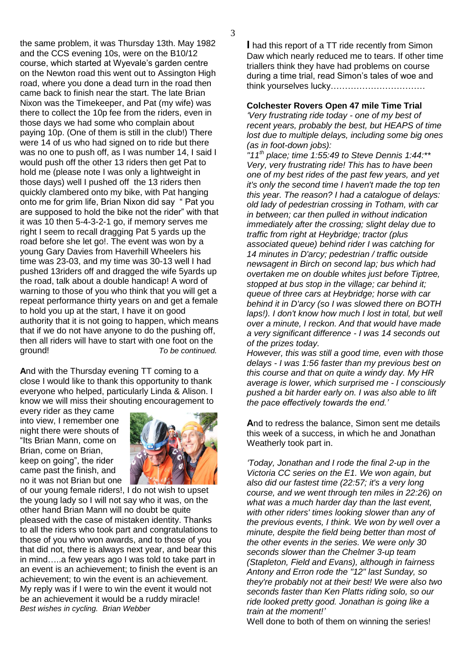the same problem, it was Thursday 13th. May 1982 and the CCS evening 10s, were on the B10/12 course, which started at Wyevale's garden centre on the Newton road this went out to Assington High road, where you done a dead turn in the road then came back to finish near the start. The late Brian Nixon was the Timekeeper, and Pat (my wife) was there to collect the 10p fee from the riders, even in those days we had some who complain about paying 10p. (One of them is still in the club!) There were 14 of us who had signed on to ride but there was no one to push off, as I was number 14, I said I would push off the other 13 riders then get Pat to hold me (please note I was only a lightweight in those days) well I pushed off the 13 riders then quickly clambered onto my bike, with Pat hanging onto me for grim life, Brian Nixon did say " Pat you are supposed to hold the bike not the rider" with that it was 10 then 5-4-3-2-1 go, if memory serves me right I seem to recall dragging Pat 5 yards up the road before she let go!. The event was won by a young Gary Davies from Haverhill Wheelers his time was 23-03, and my time was 30-13 well I had pushed 13riders off and dragged the wife 5yards up the road, talk about a double handicap! A word of warning to those of you who think that you will get a repeat performance thirty years on and get a female to hold you up at the start, I have it on good authority that it is not going to happen, which means that if we do not have anyone to do the pushing off, then all riders will have to start with one foot on the ground! *To be continued.*

**A**nd with the Thursday evening TT coming to a close I would like to thank this opportunity to thank everyone who helped, particularly Linda & Alison. I know we will miss their shouting encouragement to

every rider as they came into view, I remember one night there were shouts of "Its Brian Mann, come on Brian, come on Brian, keep on going", the rider came past the finish, and no it was not Brian but one



of our young female riders!, I do not wish to upset the young lady so I will not say who it was, on the other hand Brian Mann will no doubt be quite pleased with the case of mistaken identity. Thanks to all the riders who took part and congratulations to those of you who won awards, and to those of you that did not, there is always next year, and bear this in mind…..a few years ago I was told to take part in an event is an achievement; to finish the event is an achievement; to win the event is an achievement. My reply was if I were to win the event it would not be an achievement it would be a ruddy miracle! *Best wishes in cycling. Brian Webber*

**I** had this report of a TT ride recently from Simon Daw which nearly reduced me to tears. If other time triallers think they have had problems on course during a time trial, read Simon's tales of woe and think yourselves lucky……………………………

**Colchester Rovers Open 47 mile Time Trial**

*'Very frustrating ride today - one of my best of recent years, probably the best, but HEAPS of time lost due to multiple delays, including some big ones (as in foot-down jobs):*

*"11th place; time 1:55:49 to Steve Dennis 1:44:\*\* Very, very frustrating ride! This has to have been one of my best rides of the past few years, and yet it's only the second time I haven't made the top ten this year. The reason? I had a catalogue of delays: old lady of pedestrian crossing in Totham, with car in between; car then pulled in without indication immediately after the crossing; slight delay due to traffic from right at Heybridge; tractor (plus associated queue) behind rider I was catching for 14 minutes in D'arcy; pedestrian / traffic outside newsagent in Birch on second lap; bus which had overtaken me on double whites just before Tiptree, stopped at bus stop in the village; car behind it; queue of three cars at Heybridge; horse with car behind it in D'arcy (so I was slowed there on BOTH laps!). I don't know how much I lost in total, but well over a minute, I reckon. And that would have made a very significant difference - I was 14 seconds out of the prizes today.*

*However, this was still a good time, even with those delays - I was 1:56 faster than my previous best on this course and that on quite a windy day. My HR average is lower, which surprised me - I consciously pushed a bit harder early on. I was also able to lift the pace effectively towards the end.'*

**A**nd to redress the balance, Simon sent me details this week of a success, in which he and Jonathan Weatherly took part in.

*'Today, Jonathan and I rode the final 2-up in the Victoria CC series on the E1. We won again, but also did our fastest time (22:57; it's a very long course, and we went through ten miles in 22:26) on what was a much harder day than the last event, with other riders' times looking slower than any of the previous events, I think. We won by well over a minute, despite the field being better than most of the other events in the series. We were only 30 seconds slower than the Chelmer 3-up team (Stapleton, Field and Evans), although in fairness Antony and Erron rode the "12" last Sunday, so they're probably not at their best! We were also two seconds faster than Ken Platts riding solo, so our ride looked pretty good. Jonathan is going like a train at the moment!'*

Well done to both of them on winning the series!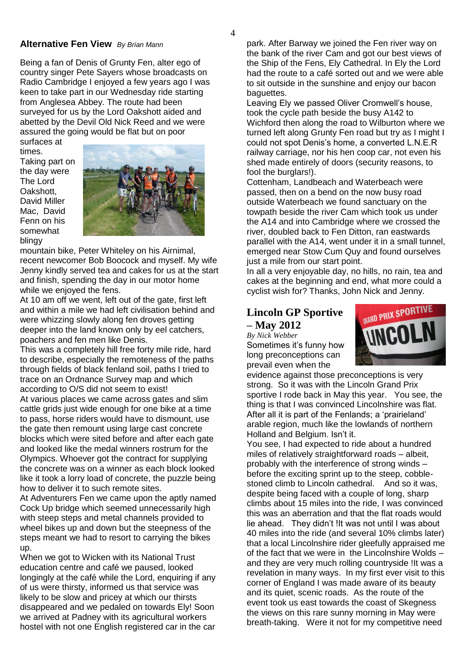### **Alternative Fen View** *By Brian Mann*

Being a fan of Denis of Grunty Fen, alter ego of country singer Pete Sayers whose broadcasts on Radio Cambridge I enjoyed a few years ago I was keen to take part in our Wednesday ride starting from Anglesea Abbey. The route had been surveyed for us by the Lord Oakshott aided and abetted by the Devil Old Nick Reed and we were assured the going would be flat but on poor

surfaces at times. Taking part on the day were The Lord Oakshott, David Miller Mac, David Fenn on his somewhat blingy



mountain bike, Peter Whiteley on his Airnimal, recent newcomer Bob Boocock and myself. My wife Jenny kindly served tea and cakes for us at the start and finish, spending the day in our motor home while we enjoyed the fens.

At 10 am off we went, left out of the gate, first left and within a mile we had left civilisation behind and were whizzing slowly along fen droves getting deeper into the land known only by eel catchers, poachers and fen men like Denis.

This was a completely hill free forty mile ride, hard to describe, especially the remoteness of the paths through fields of black fenland soil, paths I tried to trace on an Ordnance Survey map and which according to O/S did not seem to exist! At various places we came across gates and slim cattle grids just wide enough for one bike at a time to pass, horse riders would have to dismount, use the gate then remount using large cast concrete blocks which were sited before and after each gate and looked like the medal winners rostrum for the Olympics. Whoever got the contract for supplying the concrete was on a winner as each block looked like it took a lorry load of concrete, the puzzle being how to deliver it to such remote sites.

At Adventurers Fen we came upon the aptly named Cock Up bridge which seemed unnecessarily high with steep steps and metal channels provided to wheel bikes up and down but the steepness of the steps meant we had to resort to carrying the bikes up.

When we got to Wicken with its National Trust education centre and café we paused, looked longingly at the café while the Lord, enquiring if any of us were thirsty, informed us that service was likely to be slow and pricey at which our thirsts disappeared and we pedaled on towards Ely! Soon we arrived at Padney with its agricultural workers hostel with not one English registered car in the car

park. After Barway we joined the Fen river way on the bank of the river Cam and got our best views of the Ship of the Fens, Ely Cathedral. In Ely the Lord had the route to a café sorted out and we were able to sit outside in the sunshine and enjoy our bacon baguettes.

Leaving Ely we passed Oliver Cromwell's house, took the cycle path beside the busy A142 to Wichford then along the road to Wilburton where we turned left along Grunty Fen road but try as I might I could not spot Denis's home, a converted L.N.E.R railway carriage, nor his hen coop car, not even his shed made entirely of doors (security reasons, to fool the burglars!).

Cottenham, Landbeach and Waterbeach were passed, then on a bend on the now busy road outside Waterbeach we found sanctuary on the towpath beside the river Cam which took us under the A14 and into Cambridge where we crossed the river, doubled back to Fen Ditton, ran eastwards parallel with the A14, went under it in a small tunnel, emerged near Stow Cum Quy and found ourselves just a mile from our start point.

In all a very enjoyable day, no hills, no rain, tea and cakes at the beginning and end, what more could a cyclist wish for? Thanks, John Nick and Jenny.

## **Lincoln GP Sportive – May 2012**

*By Nick Webber* Sometimes it's funny how long preconceptions can prevail even when the



evidence against those preconceptions is very strong. So it was with the Lincoln Grand Prix sportive I rode back in May this year. You see, the thing is that I was convinced Lincolnshire was flat. After all it is part of the Fenlands; a 'prairieland' arable region, much like the lowlands of northern Holland and Belgium. Isn't it.

You see, I had expected to ride about a hundred miles of relatively straightforward roads – albeit, probably with the interference of strong winds – before the exciting sprint up to the steep, cobblestoned climb to Lincoln cathedral. And so it was, despite being faced with a couple of long, sharp climbs about 15 miles into the ride, I was convinced this was an aberration and that the flat roads would lie ahead. They didn't !It was not until I was about 40 miles into the ride (and several 10% climbs later) that a local Lincolnshire rider gleefully appraised me of the fact that we were in the Lincolnshire Wolds – and they are very much rolling countryside !It was a revelation in many ways. In my first ever visit to this corner of England I was made aware of its beauty and its quiet, scenic roads. As the route of the event took us east towards the coast of Skegness the views on this rare sunny morning in May were breath-taking. Were it not for my competitive need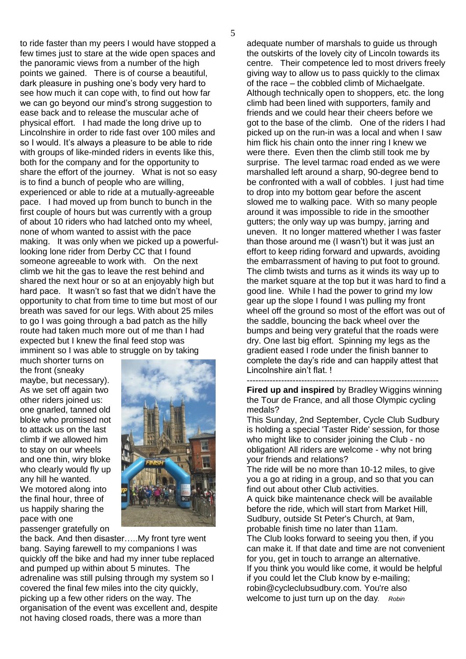to ride faster than my peers I would have stopped a few times just to stare at the wide open spaces and the panoramic views from a number of the high points we gained. There is of course a beautiful, dark pleasure in pushing one's body very hard to see how much it can cope with, to find out how far we can go beyond our mind's strong suggestion to ease back and to release the muscular ache of physical effort. I had made the long drive up to Lincolnshire in order to ride fast over 100 miles and so I would. It's always a pleasure to be able to ride with groups of like-minded riders in events like this, both for the company and for the opportunity to share the effort of the journey. What is not so easy is to find a bunch of people who are willing, experienced or able to ride at a mutually-agreeable pace. I had moved up from bunch to bunch in the first couple of hours but was currently with a group of about 10 riders who had latched onto my wheel, none of whom wanted to assist with the pace making. It was only when we picked up a powerfullooking lone rider from Derby CC that I found someone agreeable to work with. On the next climb we hit the gas to leave the rest behind and shared the next hour or so at an enjoyably high but hard pace. It wasn't so fast that we didn't have the opportunity to chat from time to time but most of our breath was saved for our legs. With about 25 miles to go I was going through a bad patch as the hilly route had taken much more out of me than I had expected but I knew the final feed stop was imminent so I was able to struggle on by taking

much shorter turns on the front (sneaky maybe, but necessary). As we set off again two other riders joined us: one gnarled, tanned old bloke who promised not to attack us on the last climb if we allowed him to stay on our wheels and one thin, wiry bloke who clearly would fly up any hill he wanted. We motored along into the final hour, three of us happily sharing the pace with one passenger gratefully on



the back. And then disaster…..My front tyre went bang. Saying farewell to my companions I was quickly off the bike and had my inner tube replaced and pumped up within about 5 minutes. The adrenaline was still pulsing through my system so I covered the final few miles into the city quickly, picking up a few other riders on the way. The organisation of the event was excellent and, despite not having closed roads, there was a more than

adequate number of marshals to guide us through the outskirts of the lovely city of Lincoln towards its centre. Their competence led to most drivers freely giving way to allow us to pass quickly to the climax of the race – the cobbled climb of Michaelgate. Although technically open to shoppers, etc. the long climb had been lined with supporters, family and friends and we could hear their cheers before we got to the base of the climb. One of the riders I had picked up on the run-in was a local and when I saw him flick his chain onto the inner ring I knew we were there. Even then the climb still took me by surprise. The level tarmac road ended as we were marshalled left around a sharp, 90-degree bend to be confronted with a wall of cobbles. I just had time to drop into my bottom gear before the ascent slowed me to walking pace. With so many people around it was impossible to ride in the smoother gutters; the only way up was bumpy, jarring and uneven. It no longer mattered whether I was faster than those around me (I wasn't) but it was just an effort to keep riding forward and upwards, avoiding the embarrassment of having to put foot to ground. The climb twists and turns as it winds its way up to the market square at the top but it was hard to find a good line. While I had the power to grind my low gear up the slope I found I was pulling my front wheel off the ground so most of the effort was out of the saddle, bouncing the back wheel over the bumps and being very grateful that the roads were dry. One last big effort. Spinning my legs as the gradient eased I rode under the finish banner to complete the day's ride and can happily attest that Lincolnshire ain't flat. !

-------------------------------------------------------------------

**Fired up and inspired** by Bradley Wiggins winning the Tour de France, and all those Olympic cycling medals?

This Sunday, 2nd September, Cycle Club Sudbury is holding a special 'Taster Ride' session, for those who might like to consider joining the Club - no obligation! All riders are welcome - why not bring your friends and relations?

The ride will be no more than 10-12 miles, to give you a go at riding in a group, and so that you can find out about other Club activities.

A quick bike maintenance check will be available before the ride, which will start from Market Hill, Sudbury, outside St Peter's Church, at 9am, probable finish time no later than 11am.

The Club looks forward to seeing you then, if you can make it. If that date and time are not convenient for you, get in touch to arrange an alternative. If you think you would like come, it would be helpful if you could let the Club know by e-mailing; robin@cycleclubsudbury.com. You're also welcome to just turn up on the day*. Robin*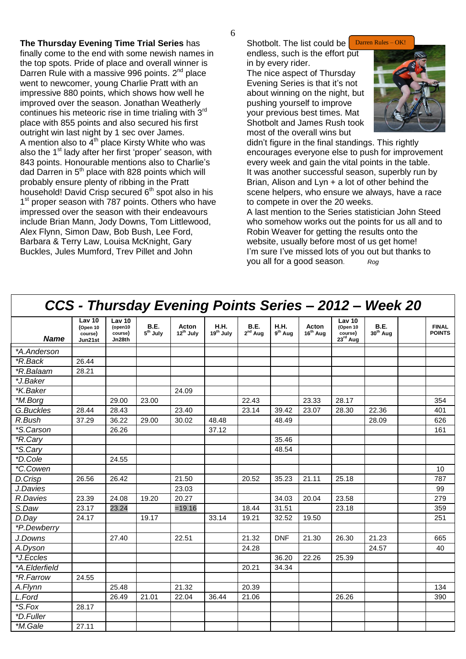**The Thursday Evening Time Trial Series** has finally come to the end with some newish names in the top spots. Pride of place and overall winner is Darren Rule with a massive 996 points.  $2^{nd}$  place went to newcomer, young Charlie Pratt with an impressive 880 points, which shows how well he improved over the season. Jonathan Weatherly continues his meteoric rise in time trialing with 3<sup>rd</sup> place with 855 points and also secured his first outright win last night by 1 sec over James. A mention also to  $4<sup>th</sup>$  place Kirsty White who was also the  $1<sup>st</sup>$  lady after her first 'proper' season, with 843 points. Honourable mentions also to Charlie's dad Darren in  $5<sup>th</sup>$  place with 828 points which will probably ensure plenty of ribbing in the Pratt household! David Crisp secured  $6<sup>th</sup>$  spot also in his 1<sup>st</sup> proper season with 787 points. Others who have impressed over the season with their endeavours include Brian Mann, Jody Downs, Tom Littlewood, Alex Flynn, Simon Daw, Bob Bush, Lee Ford, Barbara & Terry Law, Louisa McKnight, Gary Buckles, Jules Mumford, Trev Pillet and John

Shotbolt. The list could be endless, such is the effort put

in by every rider. The nice aspect of Thursday Evening Series is that it's not about winning on the night, but pushing yourself to improve your previous best times. Mat Shotbolt and James Rush took most of the overall wins but



didn't figure in the final standings. This rightly encourages everyone else to push for improvement every week and gain the vital points in the table. It was another successful season, superbly run by Brian, Alison and Lyn + a lot of other behind the scene helpers, who ensure we always, have a race to compete in over the 20 weeks.

A last mention to the Series statistician John Steed who somehow works out the points for us all and to Robin Weaver for getting the results onto the website, usually before most of us get home! I'm sure I've missed lots of you out but thanks to you all for a good season. *Rog*

| CCS - Thursday Evening Points Series - 2012 - Week 20 |                                          |                                        |                                     |                                |                                      |                             |                          |                               |                                                       |                                     |                               |
|-------------------------------------------------------|------------------------------------------|----------------------------------------|-------------------------------------|--------------------------------|--------------------------------------|-----------------------------|--------------------------|-------------------------------|-------------------------------------------------------|-------------------------------------|-------------------------------|
| <b>Name</b>                                           | Lav 10<br>(Open 10<br>course)<br>Jun21st | Lav 10<br>(open10<br>course)<br>Jn28th | <b>B.E.</b><br>5 <sup>th</sup> July | Acton<br>12 <sup>th</sup> July | <b>H.H.</b><br>19 <sup>th</sup> July | <b>B.E.</b><br>$2^{nd}$ Aug | <b>H.H.</b><br>$9th$ Aug | Acton<br>16 <sup>th</sup> Aug | Lav 10<br>(Open 10<br>course)<br>$23^{\text{rd}}$ Aug | <b>B.E.</b><br>30 <sup>th</sup> Aug | <b>FINAL</b><br><b>POINTS</b> |
| *A.Anderson                                           |                                          |                                        |                                     |                                |                                      |                             |                          |                               |                                                       |                                     |                               |
| *R.Back                                               | 26.44                                    |                                        |                                     |                                |                                      |                             |                          |                               |                                                       |                                     |                               |
| <i><b>*R.Balaam</b></i>                               | 28.21                                    |                                        |                                     |                                |                                      |                             |                          |                               |                                                       |                                     |                               |
| *J.Baker                                              |                                          |                                        |                                     |                                |                                      |                             |                          |                               |                                                       |                                     |                               |
| *K.Baker                                              |                                          |                                        |                                     | 24.09                          |                                      |                             |                          |                               |                                                       |                                     |                               |
| *M.Borg                                               |                                          | 29.00                                  | 23.00                               |                                |                                      | 22.43                       |                          | 23.33                         | 28.17                                                 |                                     | 354                           |
| G.Buckles                                             | 28.44                                    | 28.43                                  |                                     | 23.40                          |                                      | 23.14                       | 39.42                    | 23.07                         | 28.30                                                 | 22.36                               | 401                           |
| R.Bush                                                | 37.29                                    | 36.22                                  | 29.00                               | 30.02                          | 48.48                                |                             | 48.49                    |                               |                                                       | 28.09                               | 626                           |
| *S.Carson                                             |                                          | 26.26                                  |                                     |                                | 37.12                                |                             |                          |                               |                                                       |                                     | 161                           |
| *R.Cary                                               |                                          |                                        |                                     |                                |                                      |                             | 35.46                    |                               |                                                       |                                     |                               |
| *S.Cary                                               |                                          |                                        |                                     |                                |                                      |                             | 48.54                    |                               |                                                       |                                     |                               |
| *D.Cole                                               |                                          | 24.55                                  |                                     |                                |                                      |                             |                          |                               |                                                       |                                     |                               |
| *C.Cowen                                              |                                          |                                        |                                     |                                |                                      |                             |                          |                               |                                                       |                                     | 10                            |
| D.Crisp                                               | 26.56                                    | 26.42                                  |                                     | 21.50                          |                                      | 20.52                       | 35.23                    | 21.11                         | 25.18                                                 |                                     | 787                           |
| J.Davies                                              |                                          |                                        |                                     | 23.03                          |                                      |                             |                          |                               |                                                       |                                     | 99                            |
| R.Davies                                              | 23.39                                    | 24.08                                  | 19.20                               | 20.27                          |                                      |                             | 34.03                    | 20.04                         | 23.58                                                 |                                     | 279                           |
| S.Daw                                                 | 23.17                                    | 23.24                                  |                                     | $=19.16$                       |                                      | 18.44                       | 31.51                    |                               | 23.18                                                 |                                     | 359                           |
| D.Day                                                 | 24.17                                    |                                        | 19.17                               |                                | 33.14                                | 19.21                       | 32.52                    | 19.50                         |                                                       |                                     | 251                           |
| *P.Dewberry                                           |                                          |                                        |                                     |                                |                                      |                             |                          |                               |                                                       |                                     |                               |
| J.Downs                                               |                                          | 27.40                                  |                                     | 22.51                          |                                      | 21.32                       | <b>DNF</b>               | 21.30                         | 26.30                                                 | 21.23                               | 665                           |
| A.Dyson                                               |                                          |                                        |                                     |                                |                                      | 24.28                       |                          |                               |                                                       | 24.57                               | 40                            |
| *J.Eccles                                             |                                          |                                        |                                     |                                |                                      |                             | 36.20                    | 22.26                         | 25.39                                                 |                                     |                               |
| *A.Elderfield                                         |                                          |                                        |                                     |                                |                                      | 20.21                       | 34.34                    |                               |                                                       |                                     |                               |
| *R.Farrow                                             | 24.55                                    |                                        |                                     |                                |                                      |                             |                          |                               |                                                       |                                     |                               |
| A.Flynn                                               |                                          | 25.48                                  |                                     | 21.32                          |                                      | 20.39                       |                          |                               |                                                       |                                     | 134                           |
| L.Ford                                                |                                          | 26.49                                  | 21.01                               | 22.04                          | 36.44                                | 21.06                       |                          |                               | 26.26                                                 |                                     | 390                           |
| *S.Fox                                                | 28.17                                    |                                        |                                     |                                |                                      |                             |                          |                               |                                                       |                                     |                               |
| *D.Fuller                                             |                                          |                                        |                                     |                                |                                      |                             |                          |                               |                                                       |                                     |                               |
| *M.Gale                                               | 27.11                                    |                                        |                                     |                                |                                      |                             |                          |                               |                                                       |                                     |                               |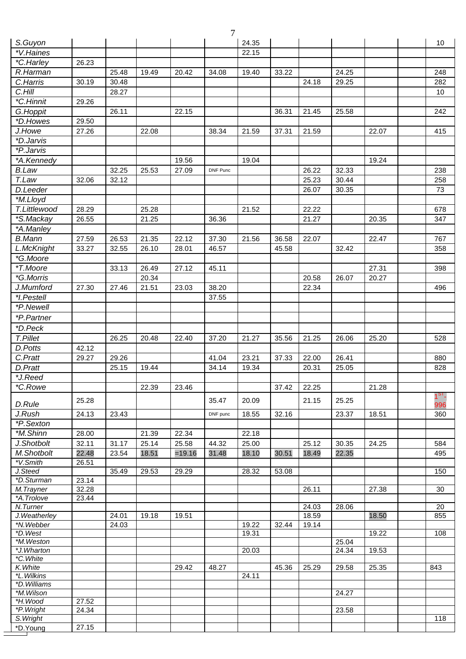|                         |       |       |       |          | 7        |       |       |       |                |       |                          |
|-------------------------|-------|-------|-------|----------|----------|-------|-------|-------|----------------|-------|--------------------------|
| S.Guyon                 |       |       |       |          |          | 24.35 |       |       |                |       | 10                       |
| *V.Haines               |       |       |       |          |          | 22.15 |       |       |                |       |                          |
| *C.Harley               | 26.23 |       |       |          |          |       |       |       |                |       |                          |
| R.Harman                |       | 25.48 | 19.49 | 20.42    | 34.08    | 19.40 | 33.22 |       | 24.25          |       | 248                      |
| C.Harris                | 30.19 | 30.48 |       |          |          |       |       | 24.18 | 29.25          |       | 282                      |
| C.Hill                  |       | 28.27 |       |          |          |       |       |       |                |       | 10                       |
| *C.Hinnit               | 29.26 |       |       |          |          |       |       |       |                |       |                          |
| G.Hoppit                |       | 26.11 |       | 22.15    |          |       | 36.31 | 21.45 | 25.58          |       | 242                      |
| *D.Howes                | 29.50 |       |       |          |          |       |       |       |                |       |                          |
| J.Howe                  | 27.26 |       | 22.08 |          | 38.34    | 21.59 | 37.31 | 21.59 |                | 22.07 | 415                      |
| *D.Jarvis               |       |       |       |          |          |       |       |       |                |       |                          |
| *P.Jarvis               |       |       |       |          |          |       |       |       |                |       |                          |
| *A.Kennedy              |       |       |       | 19.56    |          | 19.04 |       |       |                | 19.24 |                          |
| <b>B.Law</b>            |       | 32.25 | 25.53 | 27.09    | DNF Punc |       |       | 26.22 | 32.33          |       | 238                      |
| T.Law                   | 32.06 |       |       |          |          |       |       | 25.23 | 30.44          |       |                          |
|                         |       | 32.12 |       |          |          |       |       |       | 30.35          |       | 258                      |
| D.Leeder                |       |       |       |          |          |       |       | 26.07 |                |       | 73                       |
| *M.Lloyd                |       |       |       |          |          |       |       |       |                |       |                          |
| T.Littlewood            | 28.29 |       | 25.28 |          |          | 21.52 |       | 22.22 |                |       | 678                      |
| *S.Mackay               | 26.55 |       | 21.25 |          | 36.36    |       |       | 21.27 |                | 20.35 | 347                      |
| *A.Manley               |       |       |       |          |          |       |       |       |                |       |                          |
| <b>B.Mann</b>           | 27.59 | 26.53 | 21.35 | 22.12    | 37.30    | 21.56 | 36.58 | 22.07 |                | 22.47 | 767                      |
| L.McKnight              | 33.27 | 32.55 | 26.10 | 28.01    | 46.57    |       | 45.58 |       | 32.42          |       | 358                      |
| *G.Moore                |       |       |       |          |          |       |       |       |                |       |                          |
| *T.Moore                |       | 33.13 | 26.49 | 27.12    | 45.11    |       |       |       |                | 27.31 | 398                      |
| *G.Morris               |       |       | 20.34 |          |          |       |       | 20.58 | 26.07          | 20.27 |                          |
| J.Mumford               | 27.30 | 27.46 | 21.51 | 23.03    | 38.20    |       |       | 22.34 |                |       | 496                      |
| *I.Pestell              |       |       |       |          | 37.55    |       |       |       |                |       |                          |
| *P.Newell               |       |       |       |          |          |       |       |       |                |       |                          |
| *P.Partner              |       |       |       |          |          |       |       |       |                |       |                          |
| *D.Peck                 |       |       |       |          |          |       |       |       |                |       |                          |
| <b>T.Pillet</b>         |       | 26.25 | 20.48 | 22.40    | 37.20    | 21.27 | 35.56 | 21.25 | 26.06          | 25.20 | 528                      |
| D.Potts                 | 42.12 |       |       |          |          |       |       |       |                |       |                          |
| C.Pratt                 | 29.27 | 29.26 |       |          | 41.04    | 23.21 | 37.33 | 22.00 | 26.41          |       | 880                      |
| D.Pratt                 |       | 25.15 | 19.44 |          | 34.14    | 19.34 |       | 20.31 | 25.05          |       | 828                      |
| *J.Reed                 |       |       |       |          |          |       |       |       |                |       |                          |
| *C.Rowe                 |       |       | 22.39 | 23.46    |          |       | 37.42 | 22.25 |                | 21.28 |                          |
| D.Rule                  | 25.28 |       |       |          | 35.47    | 20.09 |       | 21.15 | 25.25          |       | 1 <sup>si</sup> -<br>996 |
| J.Rush                  | 24.13 | 23.43 |       |          | DNF punc | 18.55 | 32.16 |       | 23.37          | 18.51 | 360                      |
| *P.Sexton               |       |       |       |          |          |       |       |       |                |       |                          |
| *M.Shinn                | 28.00 |       | 21.39 | 22.34    |          | 22.18 |       |       |                |       |                          |
| J.Shotbolt              | 32.11 | 31.17 | 25.14 | 25.58    | 44.32    | 25.00 |       | 25.12 | 30.35          | 24.25 | 584                      |
| M.Shotbolt              | 22.48 | 23.54 | 18.51 | $=19.16$ | 31.48    | 18.10 | 30.51 | 18.49 | 22.35          |       | 495                      |
| *V.Smith                | 26.51 |       |       |          |          |       |       |       |                |       |                          |
| J.Steed                 |       | 35.49 | 29.53 | 29.29    |          | 28.32 | 53.08 |       |                |       | 150                      |
| *D.Sturman              | 23.14 |       |       |          |          |       |       |       |                |       |                          |
| M.Trayner               | 32.28 |       |       |          |          |       |       | 26.11 |                | 27.38 | 30                       |
| *A.Trolove              | 23.44 |       |       |          |          |       |       |       |                |       |                          |
| N.Turner                |       |       |       |          |          |       |       | 24.03 | 28.06          |       | 20                       |
| J. Weatherley           |       | 24.01 | 19.18 | 19.51    |          |       |       | 18.59 |                | 18.50 | 855                      |
| *N.Webber               |       | 24.03 |       |          |          | 19.22 | 32.44 | 19.14 |                |       |                          |
| *D.West                 |       |       |       |          |          | 19.31 |       |       |                | 19.22 | 108                      |
| *M.Weston<br>*J.Wharton |       |       |       |          |          | 20.03 |       |       | 25.04<br>24.34 | 19.53 |                          |
| *C. White               |       |       |       |          |          |       |       |       |                |       |                          |
| K. White                |       |       |       | 29.42    | 48.27    |       | 45.36 | 25.29 | 29.58          | 25.35 | 843                      |
| *L. Wilkins             |       |       |       |          |          | 24.11 |       |       |                |       |                          |
| *D. Williams            |       |       |       |          |          |       |       |       |                |       |                          |
| *M.Wilson               |       |       |       |          |          |       |       |       | 24.27          |       |                          |
| *H.Wood                 | 27.52 |       |       |          |          |       |       |       |                |       |                          |
| *P. Wright<br>S. Wright | 24.34 |       |       |          |          |       |       |       | 23.58          |       | 118                      |
| *D.Young                | 27.15 |       |       |          |          |       |       |       |                |       |                          |
|                         |       |       |       |          |          |       |       |       |                |       |                          |